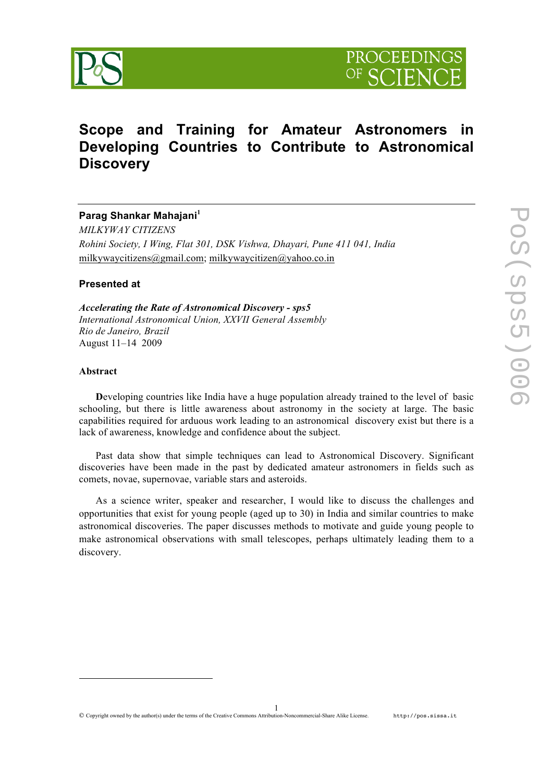



# **Scope and Training for Amateur Astronomers in Developing Countries to Contribute to Astronomical Discovery**

**Parag Shankar Mahajani<sup>1</sup>** *MILKYWAY CITIZENS*

*Rohini Society, I Wing, Flat 301, DSK Vishwa, Dhayari, Pune 411 041, India* milkywaycitizens@gmail.com; milkywaycitizen@yahoo.co.in

### **Presented at**

*Accelerating the Rate of Astronomical Discovery - sps5 International Astronomical Union, XXVII General Assembly Rio de Janeiro, Brazil*  August 11–14 2009

#### **Abstract**

<u>.</u>

**D**eveloping countries like India have a huge population already trained to the level of basic schooling, but there is little awareness about astronomy in the society at large. The basic capabilities required for arduous work leading to an astronomical discovery exist but there is a lack of awareness, knowledge and confidence about the subject.

Past data show that simple techniques can lead to Astronomical Discovery. Significant discoveries have been made in the past by dedicated amateur astronomers in fields such as comets, novae, supernovae, variable stars and asteroids.

As a science writer, speaker and researcher, I would like to discuss the challenges and opportunities that exist for young people (aged up to 30) in India and similar countries to make astronomical discoveries. The paper discusses methods to motivate and guide young people to make astronomical observations with small telescopes, perhaps ultimately leading them to a discovery.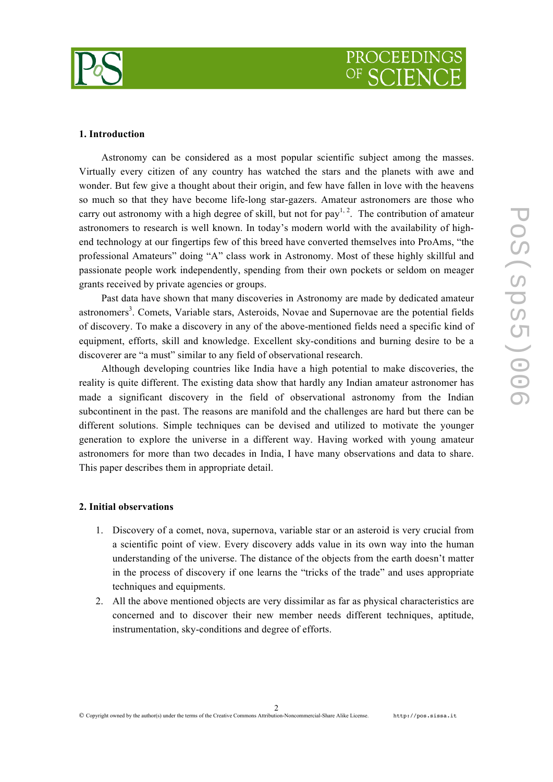

#### **1. Introduction**

Astronomy can be considered as a most popular scientific subject among the masses. Virtually every citizen of any country has watched the stars and the planets with awe and wonder. But few give a thought about their origin, and few have fallen in love with the heavens so much so that they have become life-long star-gazers. Amateur astronomers are those who carry out astronomy with a high degree of skill, but not for pay<sup>1, 2</sup>. The contribution of amateur astronomers to research is well known. In today's modern world with the availability of highend technology at our fingertips few of this breed have converted themselves into ProAms, "the professional Amateurs" doing "A" class work in Astronomy. Most of these highly skillful and passionate people work independently, spending from their own pockets or seldom on meager grants received by private agencies or groups.

Past data have shown that many discoveries in Astronomy are made by dedicated amateur astronomers<sup>3</sup>. Comets, Variable stars, Asteroids, Novae and Supernovae are the potential fields of discovery. To make a discovery in any of the above-mentioned fields need a specific kind of equipment, efforts, skill and knowledge. Excellent sky-conditions and burning desire to be a discoverer are "a must" similar to any field of observational research.

Although developing countries like India have a high potential to make discoveries, the reality is quite different. The existing data show that hardly any Indian amateur astronomer has made a significant discovery in the field of observational astronomy from the Indian subcontinent in the past. The reasons are manifold and the challenges are hard but there can be different solutions. Simple techniques can be devised and utilized to motivate the younger generation to explore the universe in a different way. Having worked with young amateur astronomers for more than two decades in India, I have many observations and data to share. This paper describes them in appropriate detail.

#### **2. Initial observations**

- 1. Discovery of a comet, nova, supernova, variable star or an asteroid is very crucial from a scientific point of view. Every discovery adds value in its own way into the human understanding of the universe. The distance of the objects from the earth doesn't matter in the process of discovery if one learns the "tricks of the trade" and uses appropriate techniques and equipments.
- 2. All the above mentioned objects are very dissimilar as far as physical characteristics are concerned and to discover their new member needs different techniques, aptitude, instrumentation, sky-conditions and degree of efforts.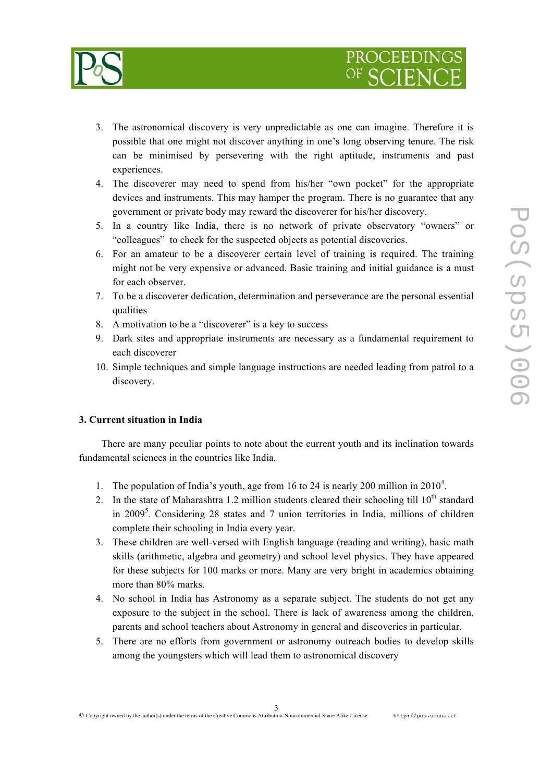

- 3. The astronomical discovery is very unpredictable as one can imagine. Therefore it is possible that one might not discover anything in one's long observing tenure. The risk can be minimised by persevering with the right aptitude, instruments and past experiences.
- 4. The discoverer may need to spend from his/her "own pocket" for the appropriate devices and instruments. This may hamper the program. There is no guarantee that any government or private body may reward the discoverer for his/her discovery.
- 5. In a country like India, there is no network of private observatory "owners" or "colleagues" to check for the suspected objects as potential discoveries.
- 6. For an amateur to be a discoverer certain level of training is required. The training might not be very expensive or advanced. Basic training and initial guidance is a must for each observer.
- 7. To be a discoverer dedication, determination and perseverance are the personal essential qualities
- 8. A motivation to be a "discoverer" is a key to success
- 9. Dark sites and appropriate instruments are necessary as a fundamental requirement to each discoverer
- 10. Simple techniques and simple language instructions are needed leading from patrol to a discovery.

### **3. Current situation in India**

There are many peculiar points to note about the current youth and its inclination towards fundamental sciences in the countries like India.

- 1. The population of India's youth, age from 16 to 24 is nearly 200 million in  $2010<sup>4</sup>$ .
- 2. In the state of Maharashtra 1.2 million students cleared their schooling till  $10^{th}$  standard in 2009<sup>5</sup>. Considering 28 states and 7 union territories in India, millions of children complete their schooling in India every year.
- 3. These children are well-versed with English language (reading and writing), basic math skills (arithmetic, algebra and geometry) and school level physics. They have appeared for these subjects for 100 marks or more. Many are very bright in academics obtaining more than 80% marks.
- 4. No school in India has Astronomy as a separate subject. The students do not get any exposure to the subject in the school. There is lack of awareness among the children, parents and school teachers about Astronomy in general and discoveries in particular.
- 5. There are no efforts from government or astronomy outreach bodies to develop skills among the youngsters which will lead them to astronomical discovery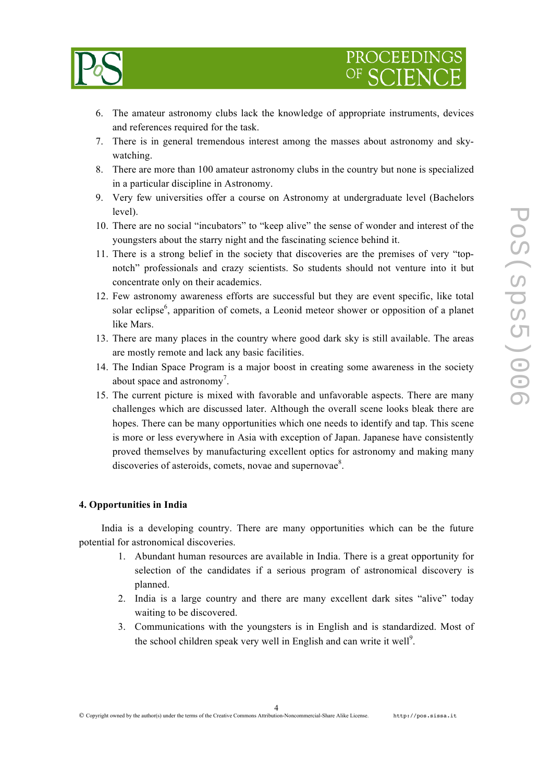

- 6. The amateur astronomy clubs lack the knowledge of appropriate instruments, devices and references required for the task.
- 7. There is in general tremendous interest among the masses about astronomy and skywatching.
- 8. There are more than 100 amateur astronomy clubs in the country but none is specialized in a particular discipline in Astronomy.
- 9. Very few universities offer a course on Astronomy at undergraduate level (Bachelors level).
- 10. There are no social "incubators" to "keep alive" the sense of wonder and interest of the youngsters about the starry night and the fascinating science behind it.
- 11. There is a strong belief in the society that discoveries are the premises of very "topnotch" professionals and crazy scientists. So students should not venture into it but concentrate only on their academics.
- 12. Few astronomy awareness efforts are successful but they are event specific, like total solar eclipse<sup>6</sup>, apparition of comets, a Leonid meteor shower or opposition of a planet like Mars.
- 13. There are many places in the country where good dark sky is still available. The areas are mostly remote and lack any basic facilities.
- 14. The Indian Space Program is a major boost in creating some awareness in the society about space and astronomy<sup>7</sup>.
- 15. The current picture is mixed with favorable and unfavorable aspects. There are many challenges which are discussed later. Although the overall scene looks bleak there are hopes. There can be many opportunities which one needs to identify and tap. This scene is more or less everywhere in Asia with exception of Japan. Japanese have consistently proved themselves by manufacturing excellent optics for astronomy and making many discoveries of asteroids, comets, novae and supernovae<sup>8</sup>.

### **4. Opportunities in India**

India is a developing country. There are many opportunities which can be the future potential for astronomical discoveries.

- 1. Abundant human resources are available in India. There is a great opportunity for selection of the candidates if a serious program of astronomical discovery is planned.
- 2. India is a large country and there are many excellent dark sites "alive" today waiting to be discovered.
- 3. Communications with the youngsters is in English and is standardized. Most of the school children speak very well in English and can write it well $\mathbf{S}^9$ .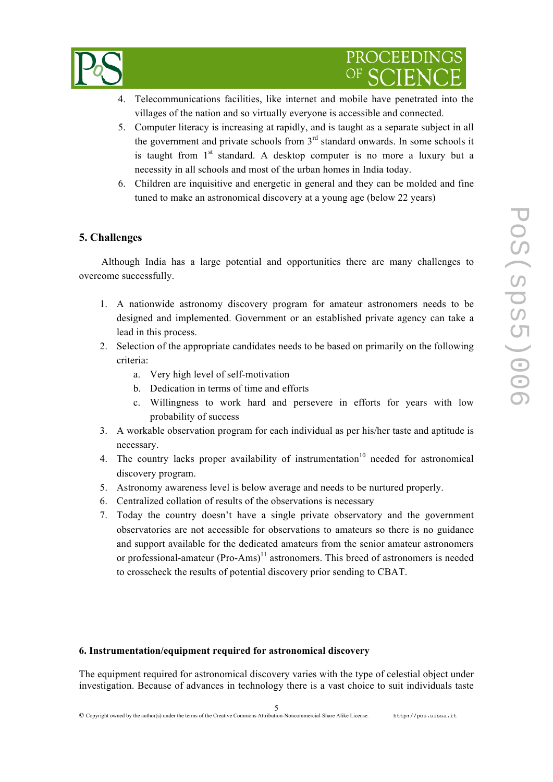

- 4. Telecommunications facilities, like internet and mobile have penetrated into the villages of the nation and so virtually everyone is accessible and connected.
- 5. Computer literacy is increasing at rapidly, and is taught as a separate subject in all the government and private schools from  $3<sup>rd</sup>$  standard onwards. In some schools it is taught from  $1<sup>st</sup>$  standard. A desktop computer is no more a luxury but a necessity in all schools and most of the urban homes in India today.
- 6. Children are inquisitive and energetic in general and they can be molded and fine tuned to make an astronomical discovery at a young age (below 22 years)

## **5. Challenges**

Although India has a large potential and opportunities there are many challenges to overcome successfully.

- 1. A nationwide astronomy discovery program for amateur astronomers needs to be designed and implemented. Government or an established private agency can take a lead in this process.
- 2. Selection of the appropriate candidates needs to be based on primarily on the following criteria:
	- a. Very high level of self-motivation
	- b. Dedication in terms of time and efforts
	- c. Willingness to work hard and persevere in efforts for years with low probability of success
- 3. A workable observation program for each individual as per his/her taste and aptitude is necessary.
- 4. The country lacks proper availability of instrumentation<sup>10</sup> needed for astronomical discovery program.
- 5. Astronomy awareness level is below average and needs to be nurtured properly.
- 6. Centralized collation of results of the observations is necessary
- 7. Today the country doesn't have a single private observatory and the government observatories are not accessible for observations to amateurs so there is no guidance and support available for the dedicated amateurs from the senior amateur astronomers or professional-amateur  $(Pro-Ams)^{11}$  astronomers. This breed of astronomers is needed to crosscheck the results of potential discovery prior sending to CBAT.

### **6. Instrumentation/equipment required for astronomical discovery**

The equipment required for astronomical discovery varies with the type of celestial object under investigation. Because of advances in technology there is a vast choice to suit individuals taste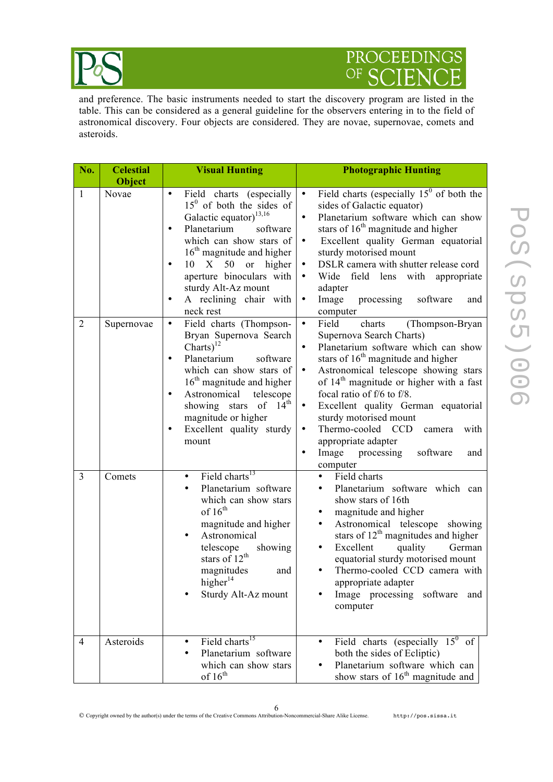

# PROCEEDINGS OF S E

and preference. The basic instruments needed to start the discovery program are listed in the table. This can be considered as a general guideline for the observers entering in to the field of astronomical discovery. Four objects are considered. They are novae, supernovae, comets and asteroids.

| No.                 | <b>Celestial</b><br>Object | <b>Visual Hunting</b>                                                                                                                                                                                                                                                                                                                                                                                                     | <b>Photographic Hunting</b>                                                                                                                                                                                                                                                                                                                                                                                                                                                                                                                |
|---------------------|----------------------------|---------------------------------------------------------------------------------------------------------------------------------------------------------------------------------------------------------------------------------------------------------------------------------------------------------------------------------------------------------------------------------------------------------------------------|--------------------------------------------------------------------------------------------------------------------------------------------------------------------------------------------------------------------------------------------------------------------------------------------------------------------------------------------------------------------------------------------------------------------------------------------------------------------------------------------------------------------------------------------|
| 1<br>$\overline{2}$ | Novae<br>Supernovae        | Field charts (especially<br>$\bullet$<br>$150$ of both the sides of<br>Galactic equator) <sup>13,16</sup><br>Planetarium<br>software<br>$\bullet$<br>which can show stars of<br>$16th$ magnitude and higher<br>10 X 50 or<br>higher<br>$\bullet$<br>aperture binoculars with<br>sturdy Alt-Az mount<br>A reclining chair with<br>$\bullet$<br>neck rest<br>Field charts (Thompson-<br>$\bullet$<br>Bryan Supernova Search | Field charts (especially $15^{\circ}$ of both the<br>$\bullet$<br>sides of Galactic equator)<br>Planetarium software which can show<br>$\bullet$<br>stars of $16th$ magnitude and higher<br>Excellent quality German equatorial<br>$\bullet$<br>sturdy motorised mount<br>DSLR camera with shutter release cord<br>$\bullet$<br>Wide field lens with appropriate<br>$\bullet$<br>adapter<br>Image<br>processing<br>software<br>$\bullet$<br>and<br>computer<br>Field<br>charts<br>(Thompson-Bryan<br>$\bullet$<br>Supernova Search Charts) |
|                     |                            | Charts) $^{12}$<br>Planetarium<br>software<br>$\bullet$<br>which can show stars of<br>$16th$ magnitude and higher<br>Astronomical<br>telescope<br>$\bullet$<br>$14^{\text{th}}$<br>of<br>showing stars<br>magnitude or higher<br>Excellent quality sturdy<br>$\bullet$<br>mount                                                                                                                                           | Planetarium software which can show<br>$\bullet$<br>stars of $16th$ magnitude and higher<br>Astronomical telescope showing stars<br>$\bullet$<br>of 14 <sup>th</sup> magnitude or higher with a fast<br>focal ratio of f/6 to f/8.<br>Excellent quality German equatorial<br>sturdy motorised mount<br>Thermo-cooled CCD<br>$\bullet$<br>camera<br>with<br>appropriate adapter<br>Image processing<br>software<br>$\bullet$<br>and<br>computer                                                                                             |
| $\overline{3}$      | Comets                     | Field charts <sup>13</sup><br>$\bullet$<br>Planetarium software<br>$\bullet$<br>which can show stars<br>of $16th$<br>magnitude and higher<br>Astronomical<br>$\bullet$<br>telescope<br>showing<br>stars of $12th$<br>magnitudes<br>and<br>higher <sup>14</sup><br>Sturdy Alt-Az mount                                                                                                                                     | Field charts<br>$\bullet$<br>Planetarium software which can<br>$\bullet$<br>show stars of 16th<br>magnitude and higher<br>٠<br>Astronomical telescope<br>showing<br>٠<br>stars of $12th$ magnitudes and higher<br>Excellent<br>quality<br>German<br>٠<br>equatorial sturdy motorised mount<br>Thermo-cooled CCD camera with<br>٠<br>appropriate adapter<br>Image processing<br>software<br>and<br>computer                                                                                                                                 |
| $\overline{4}$      | Asteroids                  | Field charts <sup>15</sup><br>$\bullet$<br>Planetarium software<br>which can show stars<br>of $16th$                                                                                                                                                                                                                                                                                                                      | Field charts (especially $15^{\circ}$ of<br>$\bullet$<br>both the sides of Ecliptic)<br>Planetarium software which can<br>$\bullet$<br>show stars of $16th$ magnitude and                                                                                                                                                                                                                                                                                                                                                                  |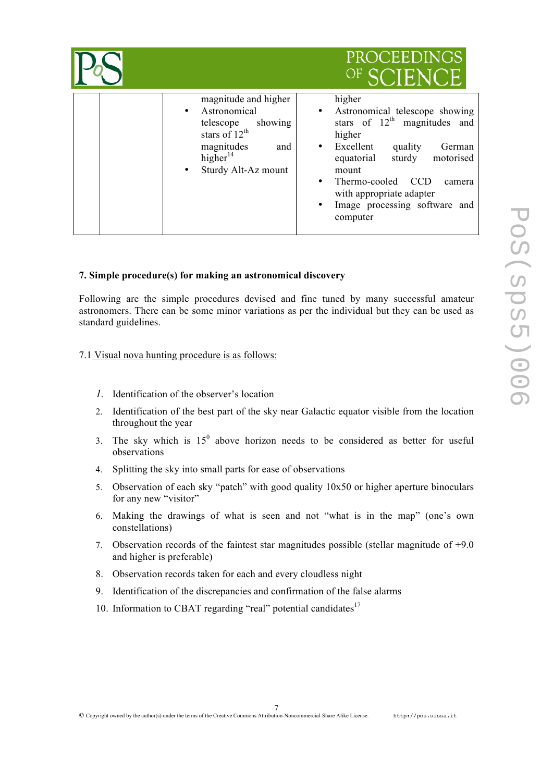|                                                                                                                                               | <b>PROCEEDINGS</b><br>OF SCIENCE                                                                                                                                                                                                                                                                         |
|-----------------------------------------------------------------------------------------------------------------------------------------------|----------------------------------------------------------------------------------------------------------------------------------------------------------------------------------------------------------------------------------------------------------------------------------------------------------|
| magnitude and higher<br>Astronomical<br>showing<br>telescope<br>stars of $12^{th}$<br>magnitudes<br>and<br>higher $14$<br>Sturdy Alt-Az mount | higher<br>Astronomical telescope showing<br>$\bullet$<br>stars of $12th$ magnitudes and<br>higher<br>Excellent<br>quality<br>German<br>sturdy<br>motorised<br>equatorial<br>mount<br>Thermo-cooled<br><b>CCD</b><br>camera<br>with appropriate adapter<br>Image processing software and<br>٠<br>computer |

### **7. Simple procedure(s) for making an astronomical discovery**

Following are the simple procedures devised and fine tuned by many successful amateur astronomers. There can be some minor variations as per the individual but they can be used as standard guidelines.

#### 7.1 Visual nova hunting procedure is as follows:

- *1.* Identification of the observer's location
- 2. Identification of the best part of the sky near Galactic equator visible from the location throughout the year
- 3. The sky which is  $15^0$  above horizon needs to be considered as better for useful observations
- 4. Splitting the sky into small parts for ease of observations
- 5. Observation of each sky "patch" with good quality 10x50 or higher aperture binoculars for any new "visitor"
- 6. Making the drawings of what is seen and not "what is in the map" (one's own constellations)
- 7. Observation records of the faintest star magnitudes possible (stellar magnitude of  $+9.0$ ) and higher is preferable)
- 8. Observation records taken for each and every cloudless night
- 9. Identification of the discrepancies and confirmation of the false alarms
- 10. Information to CBAT regarding "real" potential candidates $17$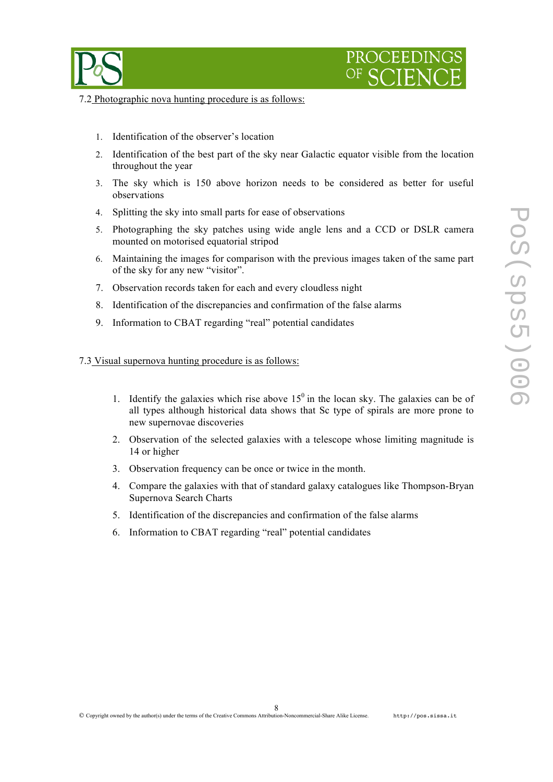



7.2 Photographic nova hunting procedure is as follows:

- 1. Identification of the observer's location
- 2. Identification of the best part of the sky near Galactic equator visible from the location throughout the year
- 3. The sky which is 150 above horizon needs to be considered as better for useful observations
- 4. Splitting the sky into small parts for ease of observations
- 5. Photographing the sky patches using wide angle lens and a CCD or DSLR camera mounted on motorised equatorial stripod
- 6. Maintaining the images for comparison with the previous images taken of the same part of the sky for any new "visitor".
- 7. Observation records taken for each and every cloudless night
- 8. Identification of the discrepancies and confirmation of the false alarms
- 9. Information to CBAT regarding "real" potential candidates

#### 7.3 Visual supernova hunting procedure is as follows:

- 1. Identify the galaxies which rise above  $15<sup>0</sup>$  in the locan sky. The galaxies can be of all types although historical data shows that Sc type of spirals are more prone to new supernovae discoveries
- 2. Observation of the selected galaxies with a telescope whose limiting magnitude is 14 or higher
- 3. Observation frequency can be once or twice in the month.
- 4. Compare the galaxies with that of standard galaxy catalogues like Thompson-Bryan Supernova Search Charts
- 5. Identification of the discrepancies and confirmation of the false alarms
- 6. Information to CBAT regarding "real" potential candidates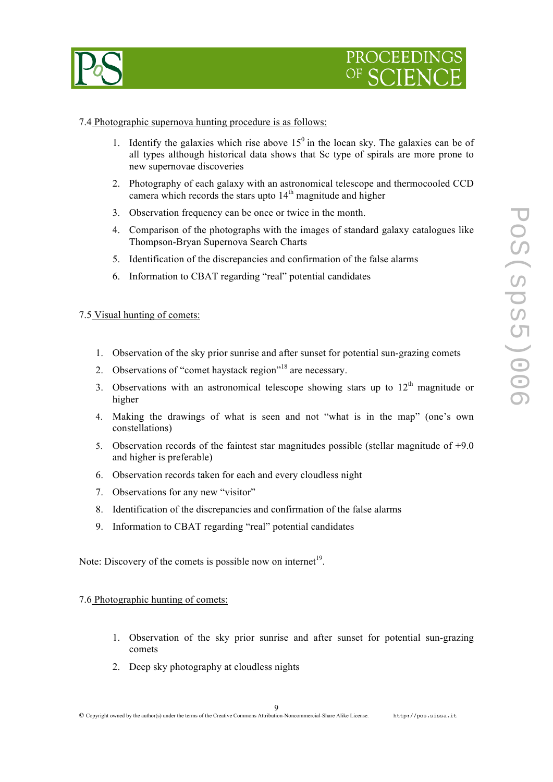



#### 7.4 Photographic supernova hunting procedure is as follows:

- 1. Identify the galaxies which rise above  $15<sup>0</sup>$  in the locan sky. The galaxies can be of all types although historical data shows that Sc type of spirals are more prone to new supernovae discoveries
- 2. Photography of each galaxy with an astronomical telescope and thermocooled CCD camera which records the stars upto  $14<sup>th</sup>$  magnitude and higher
- 3. Observation frequency can be once or twice in the month.
- 4. Comparison of the photographs with the images of standard galaxy catalogues like Thompson-Bryan Supernova Search Charts
- 5. Identification of the discrepancies and confirmation of the false alarms
- 6. Information to CBAT regarding "real" potential candidates

#### 7.5 Visual hunting of comets:

- 1. Observation of the sky prior sunrise and after sunset for potential sun-grazing comets
- 2. Observations of "comet haystack region"<sup>18</sup> are necessary.
- 3. Observations with an astronomical telescope showing stars up to  $12<sup>th</sup>$  magnitude or higher
- 4. Making the drawings of what is seen and not "what is in the map" (one's own constellations)
- 5. Observation records of the faintest star magnitudes possible (stellar magnitude of +9.0 and higher is preferable)
- 6. Observation records taken for each and every cloudless night
- 7. Observations for any new "visitor"
- 8. Identification of the discrepancies and confirmation of the false alarms
- 9. Information to CBAT regarding "real" potential candidates

Note: Discovery of the comets is possible now on internet<sup>19</sup>.

#### 7.6 Photographic hunting of comets:

- 1. Observation of the sky prior sunrise and after sunset for potential sun-grazing comets
- 2. Deep sky photography at cloudless nights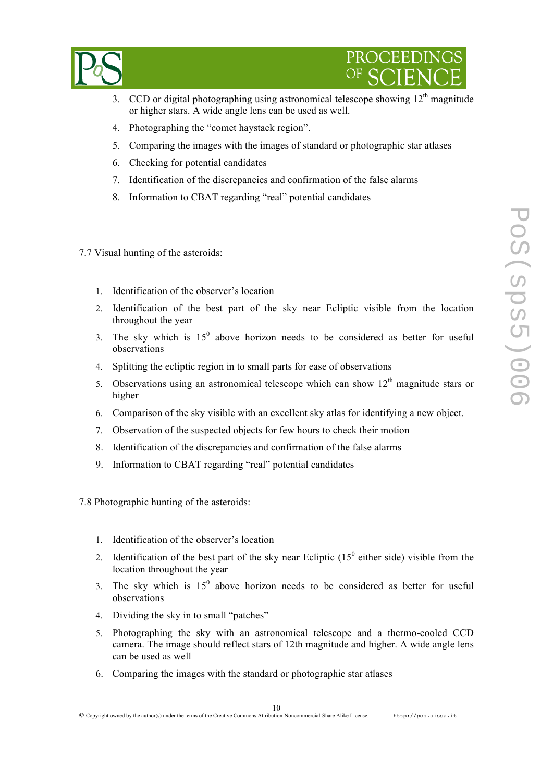

- 3. CCD or digital photographing using astronomical telescope showing  $12<sup>th</sup>$  magnitude or higher stars. A wide angle lens can be used as well.
- 4. Photographing the "comet haystack region".
- 5. Comparing the images with the images of standard or photographic star atlases
- 6. Checking for potential candidates
- 7. Identification of the discrepancies and confirmation of the false alarms
- 8. Information to CBAT regarding "real" potential candidates

#### 7.7 Visual hunting of the asteroids:

- 1. Identification of the observer's location
- 2. Identification of the best part of the sky near Ecliptic visible from the location throughout the year
- 3. The sky which is  $15^{\circ}$  above horizon needs to be considered as better for useful observations
- 4. Splitting the ecliptic region in to small parts for ease of observations
- 5. Observations using an astronomical telescope which can show  $12<sup>th</sup>$  magnitude stars or higher
- 6. Comparison of the sky visible with an excellent sky atlas for identifying a new object.
- 7. Observation of the suspected objects for few hours to check their motion
- 8. Identification of the discrepancies and confirmation of the false alarms
- 9. Information to CBAT regarding "real" potential candidates

#### 7.8 Photographic hunting of the asteroids:

- 1. Identification of the observer's location
- 2. Identification of the best part of the sky near Ecliptic  $(15^{\circ}$  either side) visible from the location throughout the year
- 3. The sky which is  $15^{\circ}$  above horizon needs to be considered as better for useful observations
- 4. Dividing the sky in to small "patches"
- 5. Photographing the sky with an astronomical telescope and a thermo-cooled CCD camera. The image should reflect stars of 12th magnitude and higher. A wide angle lens can be used as well
- 6. Comparing the images with the standard or photographic star atlases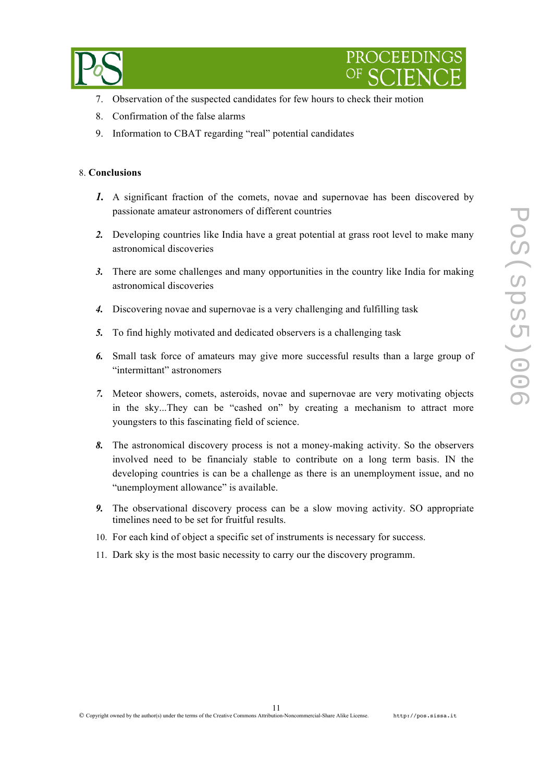



- 7. Observation of the suspected candidates for few hours to check their motion
- 8. Confirmation of the false alarms
- 9. Information to CBAT regarding "real" potential candidates

#### 8. **Conclusions**

- *1.* A significant fraction of the comets, novae and supernovae has been discovered by passionate amateur astronomers of different countries
- *2.* Developing countries like India have a great potential at grass root level to make many astronomical discoveries
- *3.* There are some challenges and many opportunities in the country like India for making astronomical discoveries
- *4.* Discovering novae and supernovae is a very challenging and fulfilling task
- *5.* To find highly motivated and dedicated observers is a challenging task
- *6.* Small task force of amateurs may give more successful results than a large group of "intermittant" astronomers
- *7.* Meteor showers, comets, asteroids, novae and supernovae are very motivating objects in the sky...They can be "cashed on" by creating a mechanism to attract more youngsters to this fascinating field of science.
- *8.* The astronomical discovery process is not a money-making activity. So the observers involved need to be financialy stable to contribute on a long term basis. IN the developing countries is can be a challenge as there is an unemployment issue, and no "unemployment allowance" is available.
- *9.* The observational discovery process can be a slow moving activity. SO appropriate timelines need to be set for fruitful results.
- 10. For each kind of object a specific set of instruments is necessary for success.
- 11. Dark sky is the most basic necessity to carry our the discovery programm.